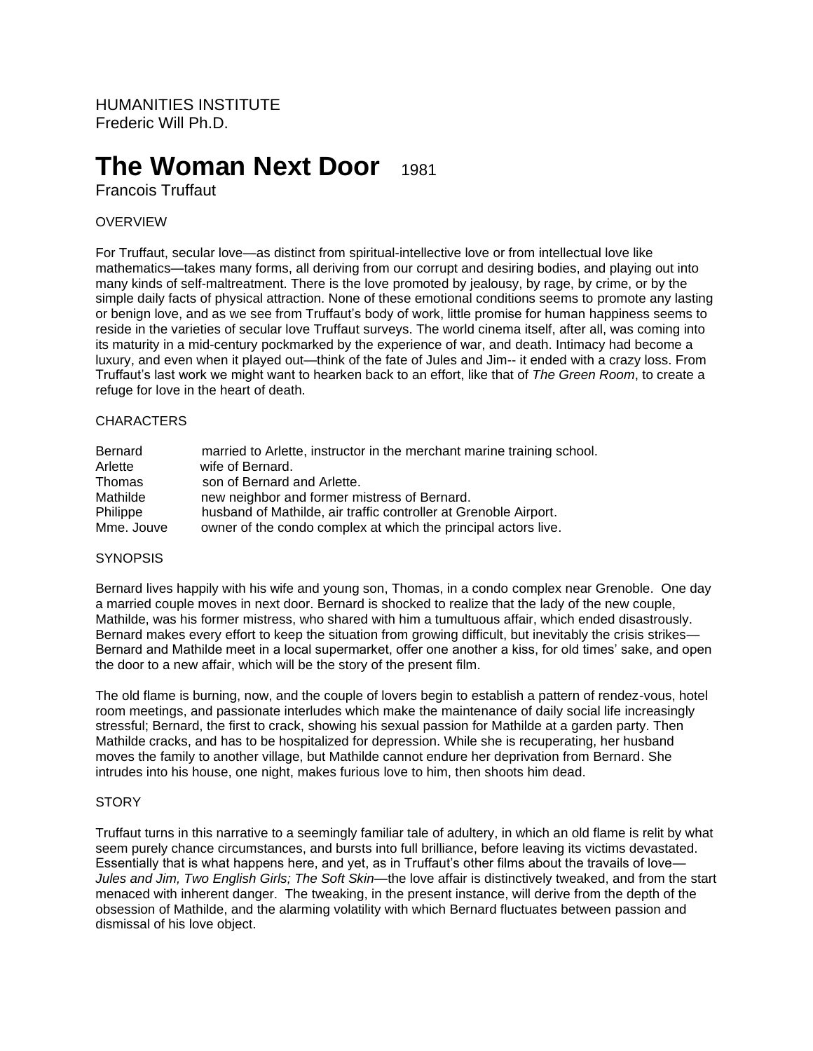HUMANITIES INSTITUTE Frederic Will Ph.D.

# **The Woman Next Door** 1981

Francois Truffaut

## OVERVIEW

For Truffaut, secular love—as distinct from spiritual-intellective love or from intellectual love like mathematics—takes many forms, all deriving from our corrupt and desiring bodies, and playing out into many kinds of self-maltreatment. There is the love promoted by jealousy, by rage, by crime, or by the simple daily facts of physical attraction. None of these emotional conditions seems to promote any lasting or benign love, and as we see from Truffaut's body of work, little promise for human happiness seems to reside in the varieties of secular love Truffaut surveys. The world cinema itself, after all, was coming into its maturity in a mid-century pockmarked by the experience of war, and death. Intimacy had become a luxury, and even when it played out—think of the fate of Jules and Jim-- it ended with a crazy loss. From Truffaut's last work we might want to hearken back to an effort, like that of *The Green Room*, to create a refuge for love in the heart of death.

#### **CHARACTERS**

| Bernard    | married to Arlette, instructor in the merchant marine training school. |
|------------|------------------------------------------------------------------------|
| Arlette    | wife of Bernard.                                                       |
| Thomas     | son of Bernard and Arlette.                                            |
| Mathilde   | new neighbor and former mistress of Bernard.                           |
| Philippe   | husband of Mathilde, air traffic controller at Grenoble Airport.       |
| Mme, Jouve | owner of the condo complex at which the principal actors live.         |

#### **SYNOPSIS**

Bernard lives happily with his wife and young son, Thomas, in a condo complex near Grenoble. One day a married couple moves in next door. Bernard is shocked to realize that the lady of the new couple, Mathilde, was his former mistress, who shared with him a tumultuous affair, which ended disastrously. Bernard makes every effort to keep the situation from growing difficult, but inevitably the crisis strikes— Bernard and Mathilde meet in a local supermarket, offer one another a kiss, for old times' sake, and open the door to a new affair, which will be the story of the present film.

The old flame is burning, now, and the couple of lovers begin to establish a pattern of rendez-vous, hotel room meetings, and passionate interludes which make the maintenance of daily social life increasingly stressful; Bernard, the first to crack, showing his sexual passion for Mathilde at a garden party. Then Mathilde cracks, and has to be hospitalized for depression. While she is recuperating, her husband moves the family to another village, but Mathilde cannot endure her deprivation from Bernard. She intrudes into his house, one night, makes furious love to him, then shoots him dead.

#### **STORY**

Truffaut turns in this narrative to a seemingly familiar tale of adultery, in which an old flame is relit by what seem purely chance circumstances, and bursts into full brilliance, before leaving its victims devastated. Essentially that is what happens here, and yet, as in Truffaut's other films about the travails of love— *Jules and Jim, Two English Girls; The Soft Skin*—the love affair is distinctively tweaked, and from the start menaced with inherent danger. The tweaking, in the present instance, will derive from the depth of the obsession of Mathilde, and the alarming volatility with which Bernard fluctuates between passion and dismissal of his love object.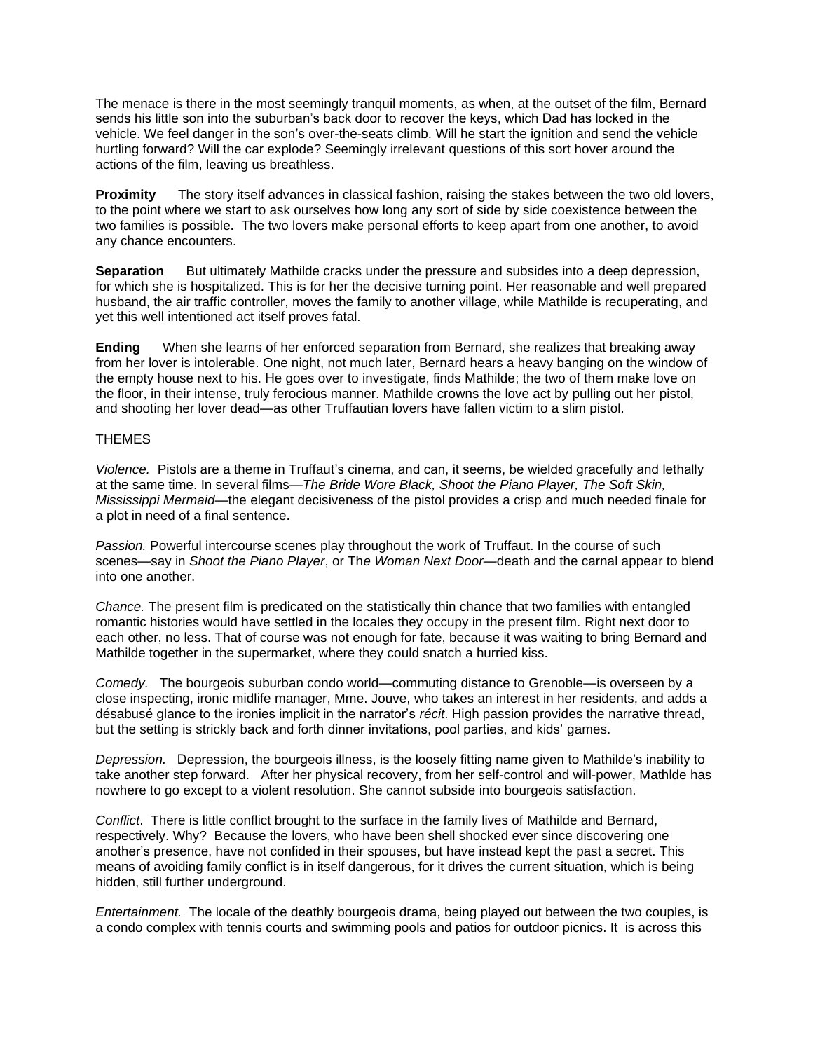The menace is there in the most seemingly tranquil moments, as when, at the outset of the film, Bernard sends his little son into the suburban's back door to recover the keys, which Dad has locked in the vehicle. We feel danger in the son's over-the-seats climb. Will he start the ignition and send the vehicle hurtling forward? Will the car explode? Seemingly irrelevant questions of this sort hover around the actions of the film, leaving us breathless.

**Proximity** The story itself advances in classical fashion, raising the stakes between the two old lovers, to the point where we start to ask ourselves how long any sort of side by side coexistence between the two families is possible. The two lovers make personal efforts to keep apart from one another, to avoid any chance encounters.

**Separation** But ultimately Mathilde cracks under the pressure and subsides into a deep depression, for which she is hospitalized. This is for her the decisive turning point. Her reasonable and well prepared husband, the air traffic controller, moves the family to another village, while Mathilde is recuperating, and yet this well intentioned act itself proves fatal.

**Ending** When she learns of her enforced separation from Bernard, she realizes that breaking away from her lover is intolerable. One night, not much later, Bernard hears a heavy banging on the window of the empty house next to his. He goes over to investigate, finds Mathilde; the two of them make love on the floor, in their intense, truly ferocious manner. Mathilde crowns the love act by pulling out her pistol, and shooting her lover dead—as other Truffautian lovers have fallen victim to a slim pistol.

### THEMES

*Violence.* Pistols are a theme in Truffaut's cinema, and can, it seems, be wielded gracefully and lethally at the same time. In several films—*The Bride Wore Black, Shoot the Piano Player, The Soft Skin, Mississippi Mermaid*—the elegant decisiveness of the pistol provides a crisp and much needed finale for a plot in need of a final sentence.

*Passion.* Powerful intercourse scenes play throughout the work of Truffaut. In the course of such scenes—say in *Shoot the Piano Player*, or Th*e Woman Next Door—*death and the carnal appear to blend into one another.

*Chance.* The present film is predicated on the statistically thin chance that two families with entangled romantic histories would have settled in the locales they occupy in the present film. Right next door to each other, no less. That of course was not enough for fate, because it was waiting to bring Bernard and Mathilde together in the supermarket, where they could snatch a hurried kiss.

*Comedy.* The bourgeois suburban condo world—commuting distance to Grenoble—is overseen by a close inspecting, ironic midlife manager, Mme. Jouve, who takes an interest in her residents, and adds a désabusé glance to the ironies implicit in the narrator's *récit*. High passion provides the narrative thread, but the setting is strickly back and forth dinner invitations, pool parties, and kids' games.

*Depression.* Depression, the bourgeois illness, is the loosely fitting name given to Mathilde's inability to take another step forward. After her physical recovery, from her self-control and will-power, Mathlde has nowhere to go except to a violent resolution. She cannot subside into bourgeois satisfaction.

*Conflict*. There is little conflict brought to the surface in the family lives of Mathilde and Bernard, respectively. Why? Because the lovers, who have been shell shocked ever since discovering one another's presence, have not confided in their spouses, but have instead kept the past a secret. This means of avoiding family conflict is in itself dangerous, for it drives the current situation, which is being hidden, still further underground.

*Entertainment.* The locale of the deathly bourgeois drama, being played out between the two couples, is a condo complex with tennis courts and swimming pools and patios for outdoor picnics. It is across this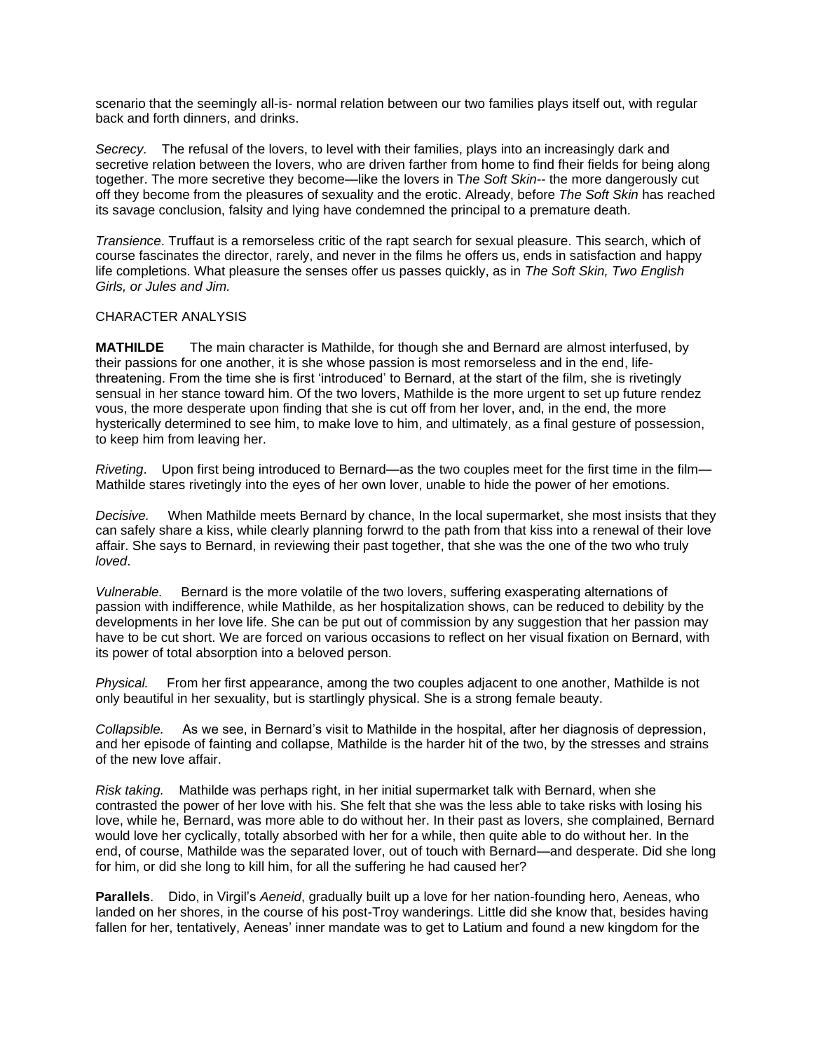scenario that the seemingly all-is- normal relation between our two families plays itself out, with regular back and forth dinners, and drinks.

*Secrecy.* The refusal of the lovers, to level with their families, plays into an increasingly dark and secretive relation between the lovers, who are driven farther from home to find fheir fields for being along together. The more secretive they become—like the lovers in T*he Soft Skin--* the more dangerously cut off they become from the pleasures of sexuality and the erotic. Already, before *The Soft Skin* has reached its savage conclusion, falsity and lying have condemned the principal to a premature death.

*Transience*. Truffaut is a remorseless critic of the rapt search for sexual pleasure. This search, which of course fascinates the director, rarely, and never in the films he offers us, ends in satisfaction and happy life completions. What pleasure the senses offer us passes quickly, as in *The Soft Skin, Two English Girls, or Jules and Jim.*

#### CHARACTER ANALYSIS

**MATHILDE** The main character is Mathilde, for though she and Bernard are almost interfused, by their passions for one another, it is she whose passion is most remorseless and in the end, lifethreatening. From the time she is first 'introduced' to Bernard, at the start of the film, she is rivetingly sensual in her stance toward him. Of the two lovers, Mathilde is the more urgent to set up future rendez vous, the more desperate upon finding that she is cut off from her lover, and, in the end, the more hysterically determined to see him, to make love to him, and ultimately, as a final gesture of possession, to keep him from leaving her.

*Riveting*. Upon first being introduced to Bernard—as the two couples meet for the first time in the film— Mathilde stares rivetingly into the eyes of her own lover, unable to hide the power of her emotions.

*Decisive.* When Mathilde meets Bernard by chance, In the local supermarket, she most insists that they can safely share a kiss, while clearly planning forwrd to the path from that kiss into a renewal of their love affair. She says to Bernard, in reviewing their past together, that she was the one of the two who truly *loved*.

*Vulnerable.* Bernard is the more volatile of the two lovers, suffering exasperating alternations of passion with indifference, while Mathilde, as her hospitalization shows, can be reduced to debility by the developments in her love life. She can be put out of commission by any suggestion that her passion may have to be cut short. We are forced on various occasions to reflect on her visual fixation on Bernard, with its power of total absorption into a beloved person.

*Physical.* From her first appearance, among the two couples adjacent to one another, Mathilde is not only beautiful in her sexuality, but is startlingly physical. She is a strong female beauty.

*Collapsible.* As we see, in Bernard's visit to Mathilde in the hospital, after her diagnosis of depression, and her episode of fainting and collapse, Mathilde is the harder hit of the two, by the stresses and strains of the new love affair.

*Risk taking.* Mathilde was perhaps right, in her initial supermarket talk with Bernard, when she contrasted the power of her love with his. She felt that she was the less able to take risks with losing his love, while he, Bernard, was more able to do without her. In their past as lovers, she complained, Bernard would love her cyclically, totally absorbed with her for a while, then quite able to do without her. In the end, of course, Mathilde was the separated lover, out of touch with Bernard—and desperate. Did she long for him, or did she long to kill him, for all the suffering he had caused her?

**Parallels**. Dido, in Virgil's *Aeneid*, gradually built up a love for her nation-founding hero, Aeneas, who landed on her shores, in the course of his post-Troy wanderings. Little did she know that, besides having fallen for her, tentatively, Aeneas' inner mandate was to get to Latium and found a new kingdom for the